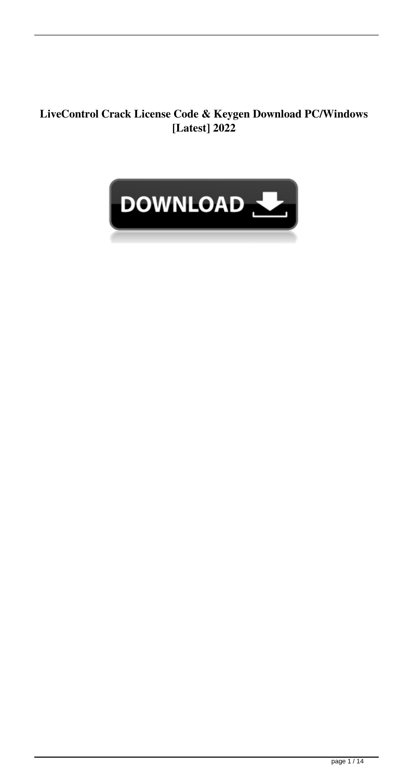#### **LiveControl Crack License Code & Keygen Download PC/Windows [Latest] 2022**

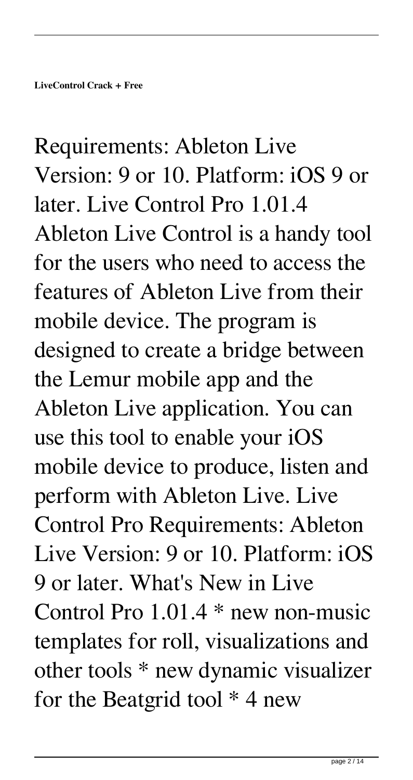Requirements: Ableton Live Version: 9 or 10. Platform: iOS 9 or later. Live Control Pro 1.01.4 Ableton Live Control is a handy tool for the users who need to access the features of Ableton Live from their mobile device. The program is designed to create a bridge between the Lemur mobile app and the Ableton Live application. You can use this tool to enable your iOS mobile device to produce, listen and perform with Ableton Live. Live Control Pro Requirements: Ableton Live Version: 9 or 10. Platform: iOS 9 or later. What's New in Live Control Pro 1.01.4 \* new non-music templates for roll, visualizations and other tools \* new dynamic visualizer for the Beatgrid tool  $*$  4 new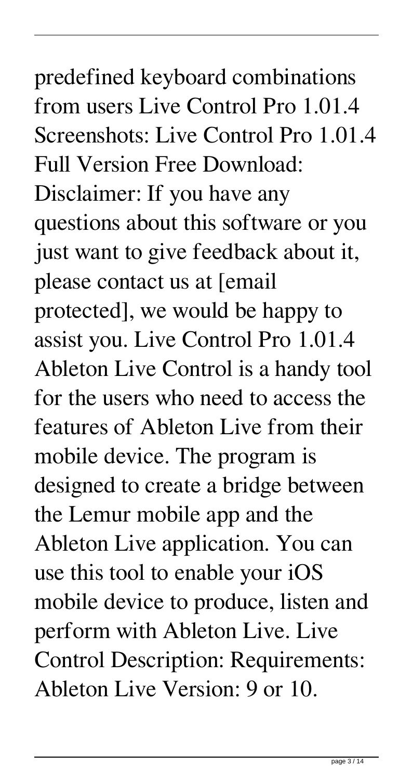predefined keyboard combinations from users Live Control Pro 1.01.4 Screenshots: Live Control Pro 1.01.4 Full Version Free Download: Disclaimer: If you have any questions about this software or you just want to give feedback about it, please contact us at [email protected], we would be happy to assist you. Live Control Pro 1.01.4 Ableton Live Control is a handy tool for the users who need to access the features of Ableton Live from their mobile device. The program is designed to create a bridge between the Lemur mobile app and the Ableton Live application. You can use this tool to enable your iOS mobile device to produce, listen and perform with Ableton Live. Live Control Description: Requirements: Ableton Live Version: 9 or 10.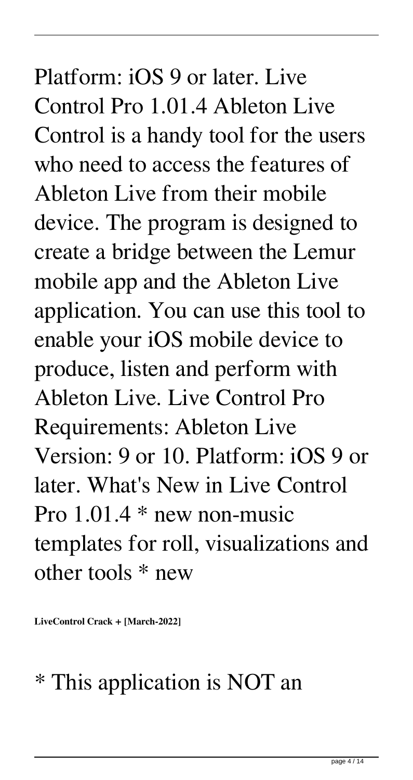Platform: iOS 9 or later. Live Control Pro 1.01.4 Ableton Live Control is a handy tool for the users who need to access the features of Ableton Live from their mobile device. The program is designed to create a bridge between the Lemur mobile app and the Ableton Live application. You can use this tool to enable your iOS mobile device to produce, listen and perform with Ableton Live. Live Control Pro Requirements: Ableton Live Version: 9 or 10. Platform: iOS 9 or later. What's New in Live Control Pro  $1.01.4$  \* new non-music templates for roll, visualizations and other tools \* new

**LiveControl Crack + [March-2022]**

#### \* This application is NOT an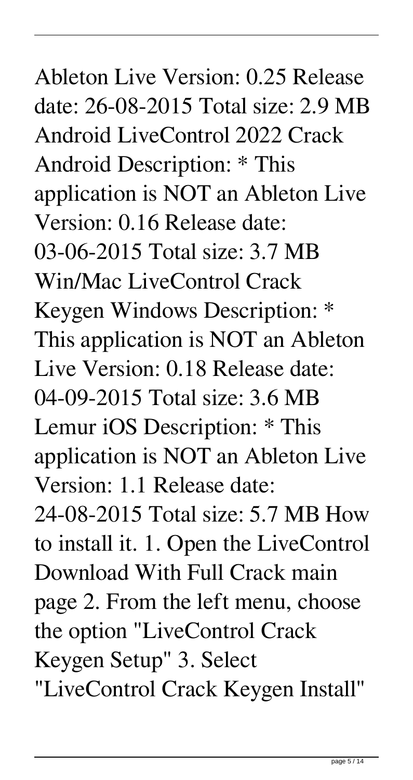# Ableton Live Version: 0.25 Release date: 26-08-2015 Total size: 2.9 MB Android LiveControl 2022 Crack Android Description: \* This application is NOT an Ableton Live Version: 0.16 Release date: 03-06-2015 Total size: 3.7 MB Win/Mac LiveControl Crack Keygen Windows Description: \* This application is NOT an Ableton Live Version: 0.18 Release date: 04-09-2015 Total size: 3.6 MB Lemur iOS Description: \* This application is NOT an Ableton Live Version: 1.1 Release date: 24-08-2015 Total size: 5.7 MB How to install it. 1. Open the LiveControl Download With Full Crack main page 2. From the left menu, choose the option "LiveControl Crack Keygen Setup" 3. Select "LiveControl Crack Keygen Install"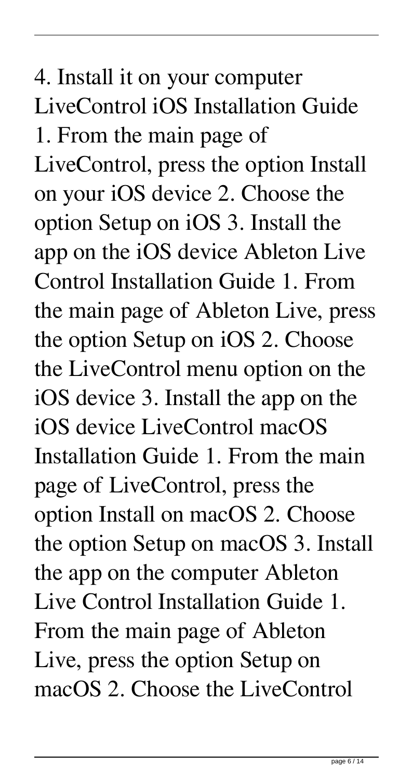# 4. Install it on your computer LiveControl iOS Installation Guide 1. From the main page of LiveControl, press the option Install on your iOS device 2. Choose the option Setup on iOS 3. Install the app on the iOS device Ableton Live Control Installation Guide 1. From the main page of Ableton Live, press the option Setup on iOS 2. Choose the LiveControl menu option on the iOS device 3. Install the app on the iOS device LiveControl macOS Installation Guide 1. From the main page of LiveControl, press the option Install on macOS 2. Choose the option Setup on macOS 3. Install the app on the computer Ableton Live Control Installation Guide 1. From the main page of Ableton Live, press the option Setup on macOS 2. Choose the LiveControl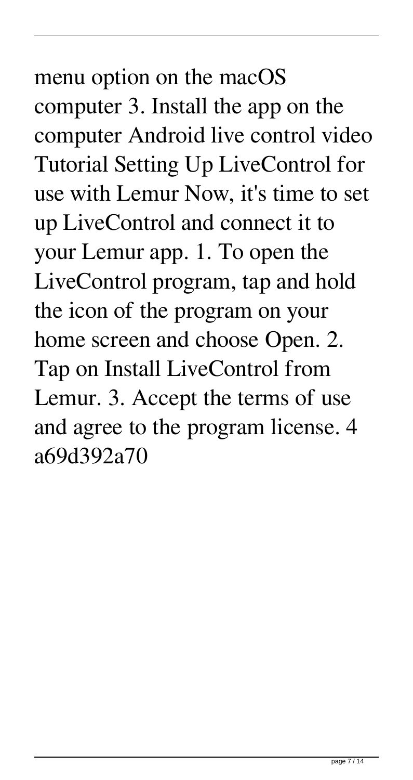# menu option on the macOS computer 3. Install the app on the computer Android live control video Tutorial Setting Up LiveControl for use with Lemur Now, it's time to set up LiveControl and connect it to your Lemur app. 1. To open the LiveControl program, tap and hold the icon of the program on your home screen and choose Open. 2. Tap on Install LiveControl from Lemur. 3. Accept the terms of use and agree to the program license. 4 a69d392a70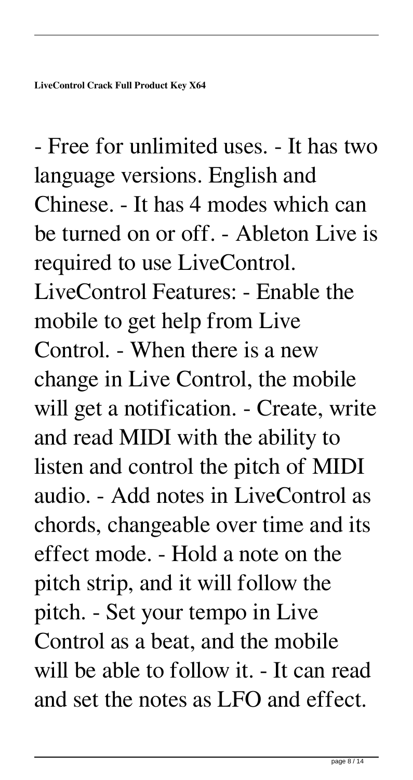- Free for unlimited uses. - It has two language versions. English and Chinese. - It has 4 modes which can be turned on or off. - Ableton Live is required to use LiveControl. LiveControl Features: - Enable the mobile to get help from Live Control. - When there is a new change in Live Control, the mobile will get a notification. - Create, write and read MIDI with the ability to listen and control the pitch of MIDI audio. - Add notes in LiveControl as chords, changeable over time and its effect mode. - Hold a note on the pitch strip, and it will follow the pitch. - Set your tempo in Live Control as a beat, and the mobile will be able to follow it. - It can read and set the notes as LFO and effect.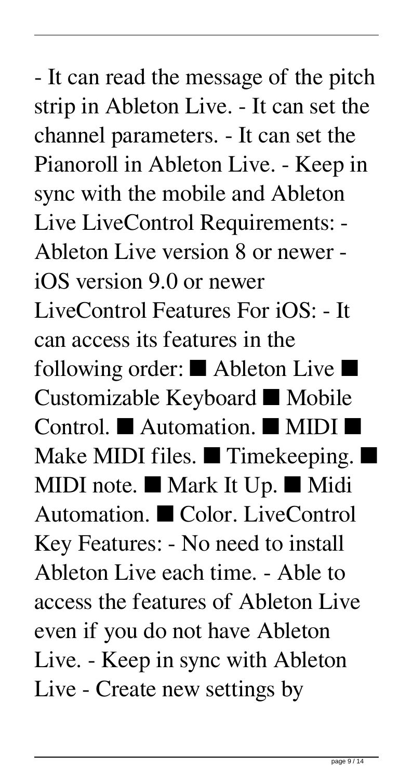- It can read the message of the pitch strip in Ableton Live. - It can set the channel parameters. - It can set the Pianoroll in Ableton Live. - Keep in sync with the mobile and Ableton Live LiveControl Requirements: - Ableton Live version 8 or newer iOS version 9.0 or newer LiveControl Features For iOS: - It can access its features in the following order: ■ Ableton Live ■ Customizable Keyboard ■ Mobile Control. ■ Automation. ■ MIDI ■ Make MIDI files. ■ Timekeeping. ■ MIDI note. ■ Mark It Up. ■ Midi Automation. ■ Color. LiveControl Key Features: - No need to install Ableton Live each time. - Able to access the features of Ableton Live even if you do not have Ableton Live. - Keep in sync with Ableton Live - Create new settings by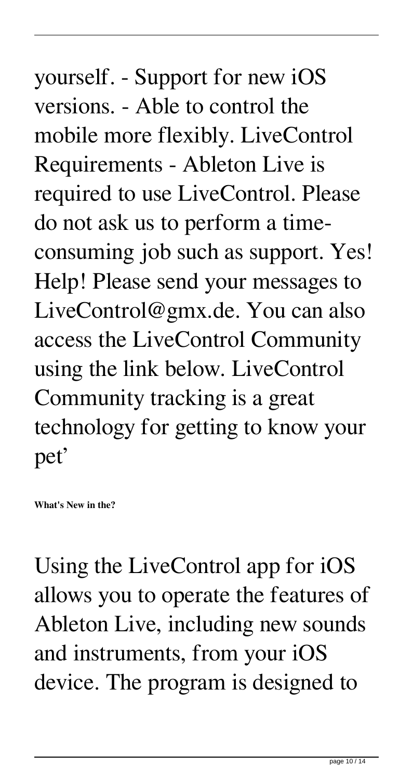# yourself. - Support for new iOS versions. - Able to control the mobile more flexibly. LiveControl Requirements - Ableton Live is required to use LiveControl. Please do not ask us to perform a timeconsuming job such as support. Yes! Help! Please send your messages to LiveControl@gmx.de. You can also access the LiveControl Community using the link below. LiveControl Community tracking is a great technology for getting to know your pet'

**What's New in the?**

Using the LiveControl app for iOS allows you to operate the features of Ableton Live, including new sounds and instruments, from your iOS device. The program is designed to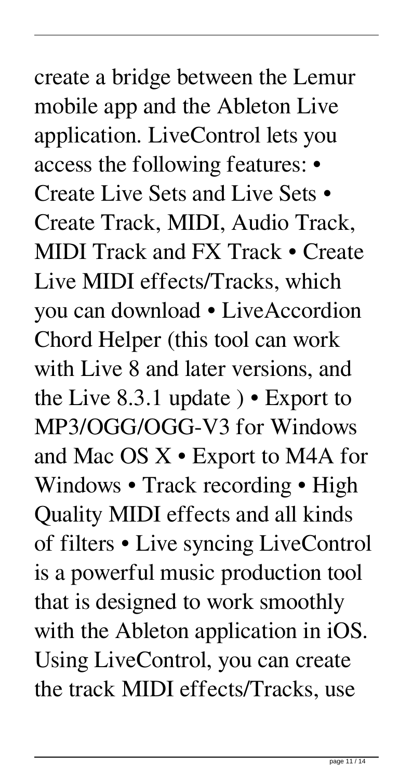### create a bridge between the Lemur mobile app and the Ableton Live application. LiveControl lets you access the following features: • Create Live Sets and Live Sets • Create Track, MIDI, Audio Track, MIDI Track and FX Track • Create Live MIDI effects/Tracks, which you can download • LiveAccordion Chord Helper (this tool can work with Live 8 and later versions, and the Live 8.3.1 update ) • Export to MP3/OGG/OGG-V3 for Windows and Mac OS X • Export to M4A for Windows • Track recording • High Quality MIDI effects and all kinds of filters • Live syncing LiveControl is a powerful music production tool that is designed to work smoothly with the Ableton application in iOS. Using LiveControl, you can create the track MIDI effects/Tracks, use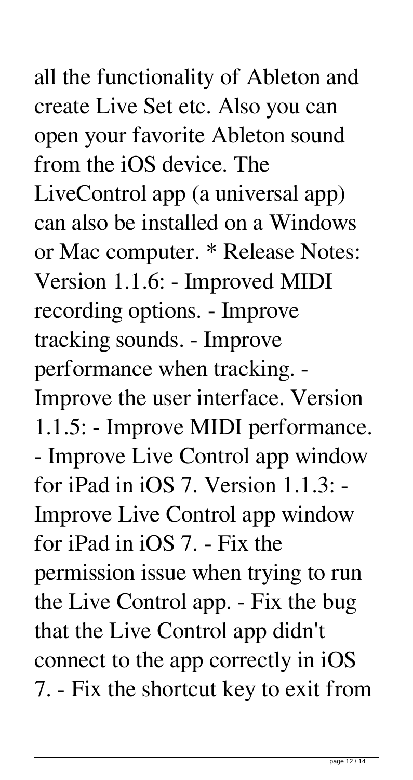all the functionality of Ableton and create Live Set etc. Also you can open your favorite Ableton sound from the iOS device. The LiveControl app (a universal app) can also be installed on a Windows or Mac computer. \* Release Notes: Version 1.1.6: - Improved MIDI recording options. - Improve tracking sounds. - Improve performance when tracking. - Improve the user interface. Version 1.1.5: - Improve MIDI performance. - Improve Live Control app window for iPad in iOS 7. Version 1.1.3: - Improve Live Control app window for iPad in iOS 7. - Fix the permission issue when trying to run the Live Control app. - Fix the bug that the Live Control app didn't connect to the app correctly in iOS 7. - Fix the shortcut key to exit from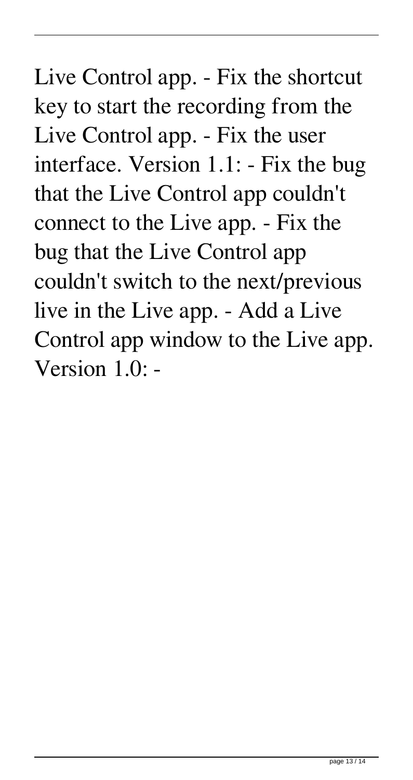Live Control app. - Fix the shortcut key to start the recording from the Live Control app. - Fix the user interface. Version 1.1: - Fix the bug that the Live Control app couldn't connect to the Live app. - Fix the bug that the Live Control app couldn't switch to the next/previous live in the Live app. - Add a Live Control app window to the Live app. Version 1.0: -